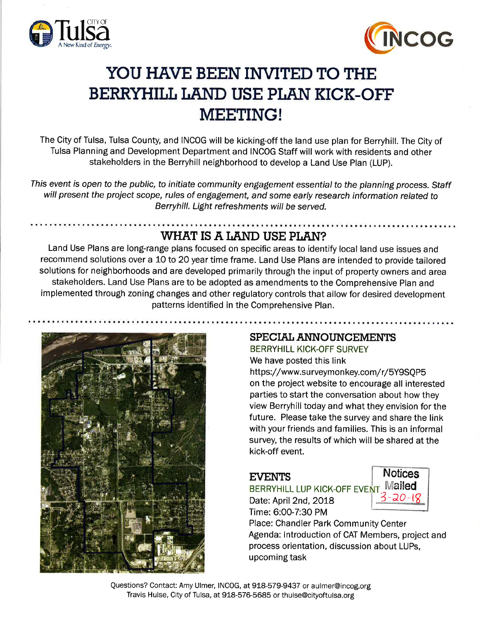



# YOU HAVE BEEN INVITED TO THE BERRYHILL LAND USE PLAN KICK-OFF MEETING!

The City of Tulsa, Tulsa County, and INCOG will be kicking-off the land use plan for Berryhill. The City of Tulsa Planning and Development Department and INCOG Staff will work with residents and other stakeholders in the Berryhill neighborhood to develop a Land Use Plan (LUP).

This event is open to the public, to initiate community engagement essential to the planning process. Staff will present the project scope, rules of engagement, and some early research information related to Berryhill. Light refreshments will be served.

## WHAT IS A LAND USE PLAN?

Land Use Plans are long-range plans focused on specific areas to identify local land use issues and recommend solutions over a 1O to 20 year time frame. Land Use Plans are intended to provide tailored solutions for neighborhoods and are developed primarily through the input of property owners and area stakeholders. Land Use Plans are to be adopted as amendments to the Comprehensive Plan and implemented through zoning changes and other regulatory controls that allow for desired development patterns identified in the Comprehensive Plan.



### SPECIAL ANNOUNCEMENTS

BERRYHILL KICK-OFF SURVEY We have posted this link

https://www.surveymonkey.com/r/5Y9SQP5 on the project website to encourage all interested parties to start the conversation about how they view Berryhill today and what they envision for the future. Please take the survey and share the link with your friends and families. This is an informal survey, the results of which will be shared at the kick-off event.

### **EVENTS**

BERRYHILL LUP KICK-OFF EVENT "<sup>Mailed</sup> Date: April 2nd, 2018

Time: 6:00-7:30 PM



Place: Chandler Park Community Center Agenda: lntroduction of CAT Members, project and process orientation, discussion about LUPs, upcoming task